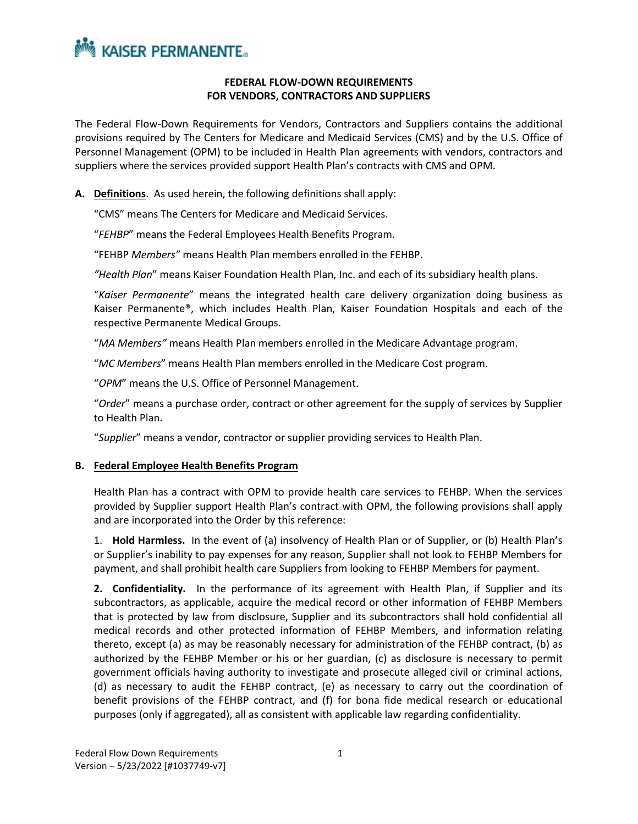

### **FEDERAL FLOW-DOWN REQUIREMENTS FOR VENDORS, CONTRACTORS AND SUPPLIERS**

The Federal Flow-Down Requirements for Vendors, Contractors and Suppliers contains the additional provisions required by The Centers for Medicare and Medicaid Services (CMS) and by the U.S. Office of Personnel Management (OPM) to be included in Health Plan agreements with vendors, contractors and suppliers where the services provided support Health Plan's contracts with CMS and OPM.

**A. Definitions**. As used herein, the following definitions shall apply:

"CMS" means The Centers for Medicare and Medicaid Services.

"*FEHBP*" means the Federal Employees Health Benefits Program.

"FEHBP *Members"* means Health Plan members enrolled in the FEHBP.

*"Health Plan*" means Kaiser Foundation Health Plan, Inc. and each of its subsidiary health plans.

"*Kaiser Permanente*" means the integrated health care delivery organization doing business as Kaiser Permanente®, which includes Health Plan, Kaiser Foundation Hospitals and each of the respective Permanente Medical Groups.

"*MA Members"* means Health Plan members enrolled in the Medicare Advantage program.

"*MC Members*" means Health Plan members enrolled in the Medicare Cost program.

"*OPM*" means the U.S. Office of Personnel Management.

"*Order*" means a purchase order, contract or other agreement for the supply of services by Supplier to Health Plan.

"*Supplier*" means a vendor, contractor or supplier providing services to Health Plan.

#### **B. Federal Employee Health Benefits Program**

Health Plan has a contract with OPM to provide health care services to FEHBP. When the services provided by Supplier support Health Plan's contract with OPM, the following provisions shall apply and are incorporated into the Order by this reference:

1. **Hold Harmless.** In the event of (a) insolvency of Health Plan or of Supplier, or (b) Health Plan's or Supplier's inability to pay expenses for any reason, Supplier shall not look to FEHBP Members for payment, and shall prohibit health care Suppliers from looking to FEHBP Members for payment.

**2. Confidentiality.** In the performance of its agreement with Health Plan, if Supplier and its subcontractors, as applicable, acquire the medical record or other information of FEHBP Members that is protected by law from disclosure, Supplier and its subcontractors shall hold confidential all medical records and other protected information of FEHBP Members, and information relating thereto, except (a) as may be reasonably necessary for administration of the FEHBP contract, (b) as authorized by the FEHBP Member or his or her guardian, (c) as disclosure is necessary to permit government officials having authority to investigate and prosecute alleged civil or criminal actions, (d) as necessary to audit the FEHBP contract, (e) as necessary to carry out the coordination of benefit provisions of the FEHBP contract, and (f) for bona fide medical research or educational purposes (only if aggregated), all as consistent with applicable law regarding confidentiality.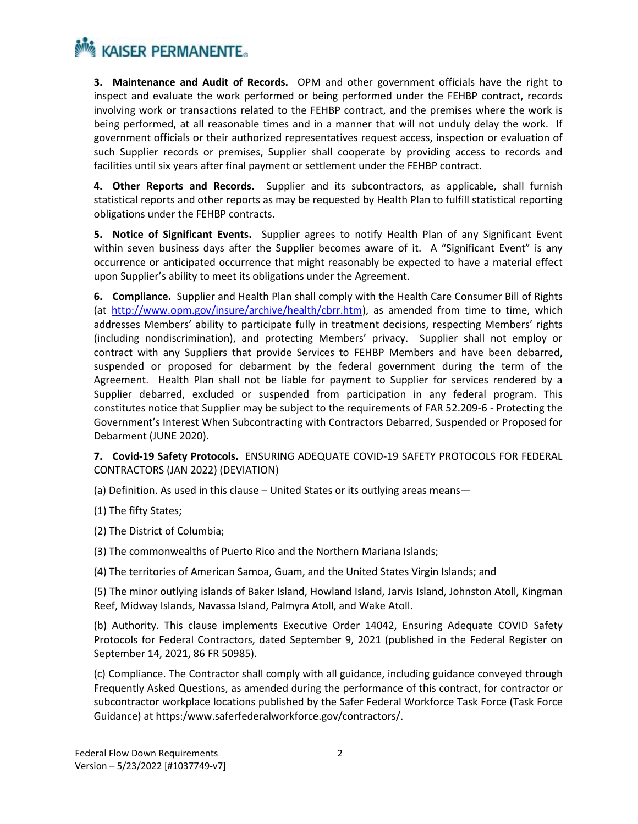**3. Maintenance and Audit of Records.** OPM and other government officials have the right to inspect and evaluate the work performed or being performed under the FEHBP contract, records involving work or transactions related to the FEHBP contract, and the premises where the work is being performed, at all reasonable times and in a manner that will not unduly delay the work. If government officials or their authorized representatives request access, inspection or evaluation of such Supplier records or premises, Supplier shall cooperate by providing access to records and facilities until six years after final payment or settlement under the FEHBP contract.

**4. Other Reports and Records.** Supplier and its subcontractors, as applicable, shall furnish statistical reports and other reports as may be requested by Health Plan to fulfill statistical reporting obligations under the FEHBP contracts.

**5. Notice of Significant Events.** Supplier agrees to notify Health Plan of any Significant Event within seven business days after the Supplier becomes aware of it. A "Significant Event" is any occurrence or anticipated occurrence that might reasonably be expected to have a material effect upon Supplier's ability to meet its obligations under the Agreement.

**6. Compliance.** Supplier and Health Plan shall comply with the Health Care Consumer Bill of Rights (at [http://www.opm.gov/insure/archive/health/cbrr.htm\)](http://www.opm.gov/insure/archive/health/cbrr.htm), as amended from time to time, which addresses Members' ability to participate fully in treatment decisions, respecting Members' rights (including nondiscrimination), and protecting Members' privacy. Supplier shall not employ or contract with any Suppliers that provide Services to FEHBP Members and have been debarred, suspended or proposed for debarment by the federal government during the term of the Agreement. Health Plan shall not be liable for payment to Supplier for services rendered by a Supplier debarred, excluded or suspended from participation in any federal program. This constitutes notice that Supplier may be subject to the requirements of FAR 52.209-6 - Protecting the Government's Interest When Subcontracting with Contractors Debarred, Suspended or Proposed for Debarment (JUNE 2020).

#### **7. Covid-19 Safety Protocols.** ENSURING ADEQUATE COVID-19 SAFETY PROTOCOLS FOR FEDERAL CONTRACTORS (JAN 2022) (DEVIATION)

(a) Definition. As used in this clause – United States or its outlying areas means—

(1) The fifty States;

- (2) The District of Columbia;
- (3) The commonwealths of Puerto Rico and the Northern Mariana Islands;
- (4) The territories of American Samoa, Guam, and the United States Virgin Islands; and

(5) The minor outlying islands of Baker Island, Howland Island, Jarvis Island, Johnston Atoll, Kingman Reef, Midway Islands, Navassa Island, Palmyra Atoll, and Wake Atoll.

(b) Authority. This clause implements Executive Order 14042, Ensuring Adequate COVID Safety Protocols for Federal Contractors, dated September 9, 2021 (published in the Federal Register on September 14, 2021, 86 FR 50985).

(c) Compliance. The Contractor shall comply with all guidance, including guidance conveyed through Frequently Asked Questions, as amended during the performance of this contract, for contractor or subcontractor workplace locations published by the Safer Federal Workforce Task Force (Task Force Guidance) at https:/www.saferfederalworkforce.gov/contractors/.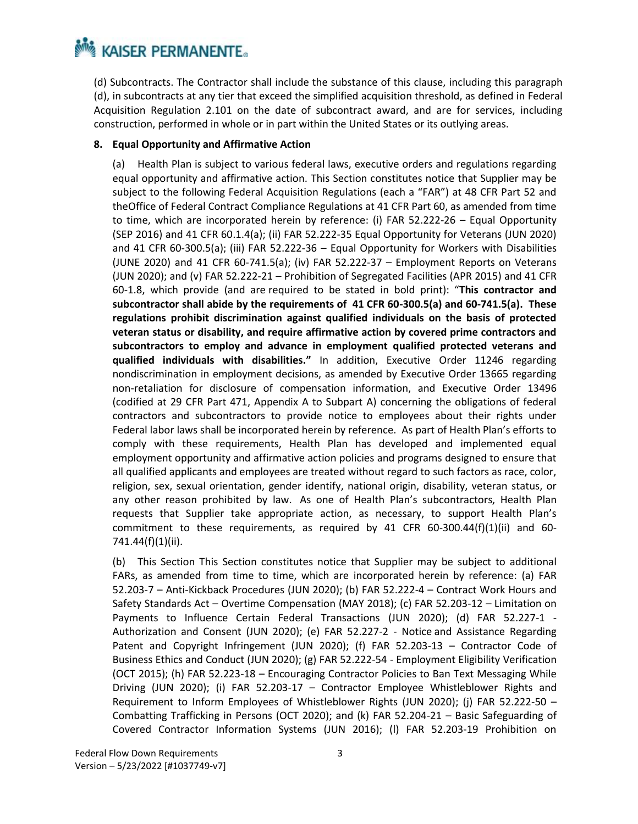(d) Subcontracts. The Contractor shall include the substance of this clause, including this paragraph (d), in subcontracts at any tier that exceed the simplified acquisition threshold, as defined in Federal Acquisition Regulation 2.101 on the date of subcontract award, and are for services, including construction, performed in whole or in part within the United States or its outlying areas.

#### **8. Equal Opportunity and Affirmative Action**

(a) Health Plan is subject to various federal laws, executive orders and regulations regarding equal opportunity and affirmative action. This Section constitutes notice that Supplier may be subject to the following Federal Acquisition Regulations (each a "FAR") at 48 CFR Part 52 and theOffice of Federal Contract Compliance Regulations at 41 CFR Part 60, as amended from time to time, which are incorporated herein by reference: (i) FAR 52.222-26 - Equal Opportunity (SEP 2016) and 41 CFR 60.1.4(a); (ii) FAR 52.222‐35 Equal Opportunity for Veterans (JUN 2020) and 41 CFR 60‐300.5(a); (iii) FAR 52.222‐36 – Equal Opportunity for Workers with Disabilities (JUNE 2020) and 41 CFR 60‐741.5(a); (iv) FAR 52.222‐37 – Employment Reports on Veterans (JUN 2020); and (v) FAR 52.222‐21 – Prohibition of Segregated Facilities (APR 2015) and 41 CFR 60‐1.8, which provide (and are required to be stated in bold print): "**This contractor and subcontractor shall abide by the requirements of 41 CFR 60-300.5(a) and 60-741.5(a). These regulations prohibit discrimination against qualified individuals on the basis of protected veteran status or disability, and require affirmative action by covered prime contractors and subcontractors to employ and advance in employment qualified protected veterans and qualified individuals with disabilities."** In addition, Executive Order 11246 regarding nondiscrimination in employment decisions, as amended by Executive Order 13665 regarding non-retaliation for disclosure of compensation information, and Executive Order 13496 (codified at 29 CFR Part 471, Appendix A to Subpart A) concerning the obligations of federal contractors and subcontractors to provide notice to employees about their rights under Federal labor laws shall be incorporated herein by reference. As part of Health Plan's efforts to comply with these requirements, Health Plan has developed and implemented equal employment opportunity and affirmative action policies and programs designed to ensure that all qualified applicants and employees are treated without regard to such factors as race, color, religion, sex, sexual orientation, gender identify, national origin, disability, veteran status, or any other reason prohibited by law. As one of Health Plan's subcontractors, Health Plan requests that Supplier take appropriate action, as necessary, to support Health Plan's commitment to these requirements, as required by 41 CFR  $60-300.44(f)(1)(ii)$  and  $60-300.44(f)(1)(iii)$ 741.44(f)(1)(ii).

(b) This Section This Section constitutes notice that Supplier may be subject to additional FARs, as amended from time to time, which are incorporated herein by reference: (a) FAR 52.203‐7 – Anti‐Kickback Procedures (JUN 2020); (b) FAR 52.222‐4 – Contract Work Hours and Safety Standards Act – Overtime Compensation (MAY 2018); (c) FAR 52.203‐12 – Limitation on Payments to Influence Certain Federal Transactions (JUN 2020); (d) FAR 52.227-1 -Authorization and Consent (JUN 2020); (e) FAR 52.227-2 - Notice and Assistance Regarding Patent and Copyright Infringement (JUN 2020); (f) FAR 52.203-13 - Contractor Code of Business Ethics and Conduct (JUN 2020); (g) FAR 52.222‐54 ‐ Employment Eligibility Verification (OCT 2015); (h) FAR 52.223‐18 – Encouraging Contractor Policies to Ban Text Messaging While Driving (JUN 2020); (i) FAR 52.203‐17 – Contractor Employee Whistleblower Rights and Requirement to Inform Employees of Whistleblower Rights (JUN 2020); (j) FAR 52.222-50 – Combatting Trafficking in Persons (OCT 2020); and (k) FAR 52.204‐21 – Basic Safeguarding of Covered Contractor Information Systems (JUN 2016); (l) FAR 52.203‐19 Prohibition on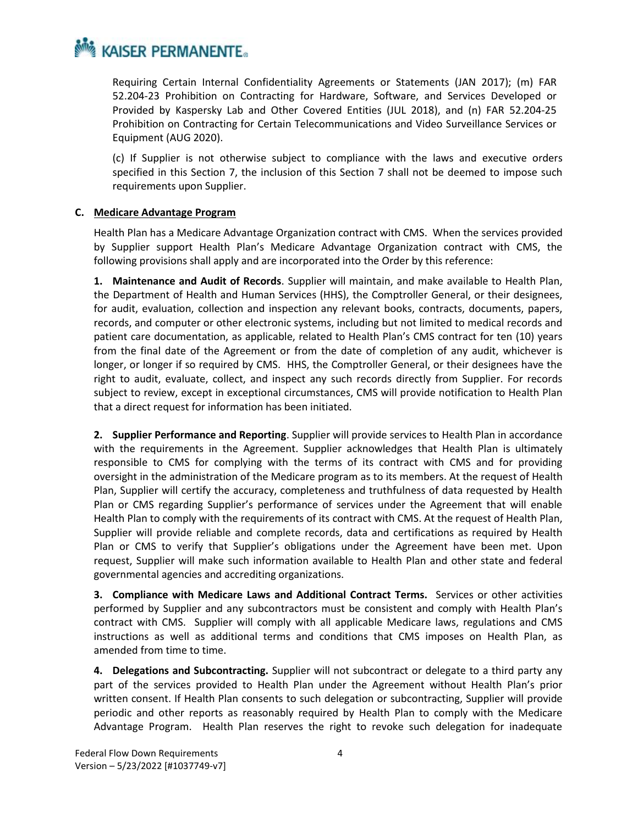

Requiring Certain Internal Confidentiality Agreements or Statements (JAN 2017); (m) FAR 52.204-23 Prohibition on Contracting for Hardware, Software, and Services Developed or Provided by Kaspersky Lab and Other Covered Entities (JUL 2018), and (n) FAR 52.204‐25 Prohibition on Contracting for Certain Telecommunications and Video Surveillance Services or Equipment (AUG 2020).

(c) If Supplier is not otherwise subject to compliance with the laws and executive orders specified in this Section 7, the inclusion of this Section 7 shall not be deemed to impose such requirements upon Supplier.

#### **C. Medicare Advantage Program**

Health Plan has a Medicare Advantage Organization contract with CMS. When the services provided by Supplier support Health Plan's Medicare Advantage Organization contract with CMS, the following provisions shall apply and are incorporated into the Order by this reference:

**1. Maintenance and Audit of Records**. Supplier will maintain, and make available to Health Plan, the Department of Health and Human Services (HHS), the Comptroller General, or their designees, for audit, evaluation, collection and inspection any relevant books, contracts, documents, papers, records, and computer or other electronic systems, including but not limited to medical records and patient care documentation, as applicable, related to Health Plan's CMS contract for ten (10) years from the final date of the Agreement or from the date of completion of any audit, whichever is longer, or longer if so required by CMS. HHS, the Comptroller General, or their designees have the right to audit, evaluate, collect, and inspect any such records directly from Supplier. For records subject to review, except in exceptional circumstances, CMS will provide notification to Health Plan that a direct request for information has been initiated.

**2. Supplier Performance and Reporting**. Supplier will provide services to Health Plan in accordance with the requirements in the Agreement. Supplier acknowledges that Health Plan is ultimately responsible to CMS for complying with the terms of its contract with CMS and for providing oversight in the administration of the Medicare program as to its members. At the request of Health Plan, Supplier will certify the accuracy, completeness and truthfulness of data requested by Health Plan or CMS regarding Supplier's performance of services under the Agreement that will enable Health Plan to comply with the requirements of its contract with CMS. At the request of Health Plan, Supplier will provide reliable and complete records, data and certifications as required by Health Plan or CMS to verify that Supplier's obligations under the Agreement have been met. Upon request, Supplier will make such information available to Health Plan and other state and federal governmental agencies and accrediting organizations.

**3. Compliance with Medicare Laws and Additional Contract Terms.** Services or other activities performed by Supplier and any subcontractors must be consistent and comply with Health Plan's contract with CMS. Supplier will comply with all applicable Medicare laws, regulations and CMS instructions as well as additional terms and conditions that CMS imposes on Health Plan, as amended from time to time.

**4. Delegations and Subcontracting.** Supplier will not subcontract or delegate to a third party any part of the services provided to Health Plan under the Agreement without Health Plan's prior written consent. If Health Plan consents to such delegation or subcontracting, Supplier will provide periodic and other reports as reasonably required by Health Plan to comply with the Medicare Advantage Program. Health Plan reserves the right to revoke such delegation for inadequate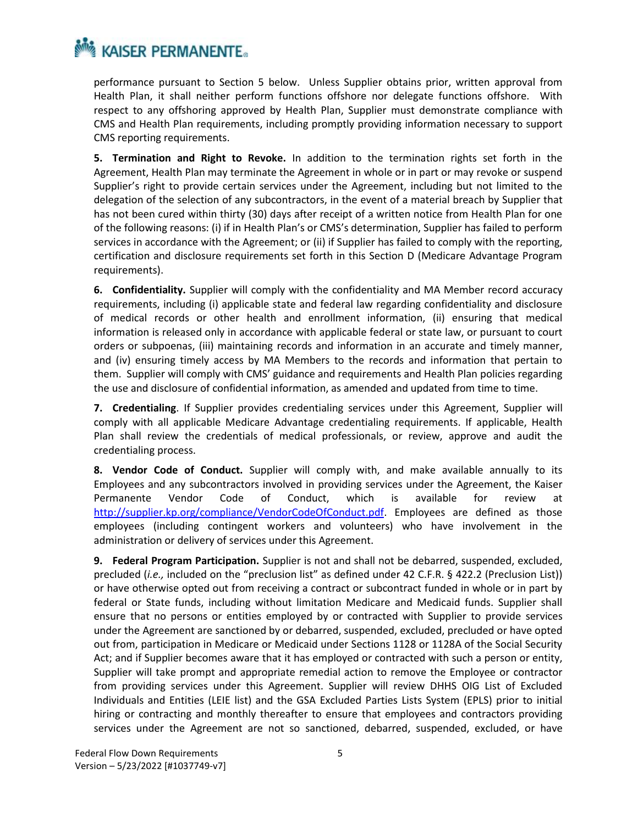performance pursuant to Section 5 below. Unless Supplier obtains prior, written approval from Health Plan, it shall neither perform functions offshore nor delegate functions offshore. With respect to any offshoring approved by Health Plan, Supplier must demonstrate compliance with CMS and Health Plan requirements, including promptly providing information necessary to support CMS reporting requirements.

**5. Termination and Right to Revoke.** In addition to the termination rights set forth in the Agreement, Health Plan may terminate the Agreement in whole or in part or may revoke or suspend Supplier's right to provide certain services under the Agreement, including but not limited to the delegation of the selection of any subcontractors, in the event of a material breach by Supplier that has not been cured within thirty (30) days after receipt of a written notice from Health Plan for one of the following reasons: (i) if in Health Plan's or CMS's determination, Supplier has failed to perform services in accordance with the Agreement; or (ii) if Supplier has failed to comply with the reporting, certification and disclosure requirements set forth in this Section D (Medicare Advantage Program requirements).

**6. Confidentiality.** Supplier will comply with the confidentiality and MA Member record accuracy requirements, including (i) applicable state and federal law regarding confidentiality and disclosure of medical records or other health and enrollment information, (ii) ensuring that medical information is released only in accordance with applicable federal or state law, or pursuant to court orders or subpoenas, (iii) maintaining records and information in an accurate and timely manner, and (iv) ensuring timely access by MA Members to the records and information that pertain to them. Supplier will comply with CMS' guidance and requirements and Health Plan policies regarding the use and disclosure of confidential information, as amended and updated from time to time.

**7. Credentialing**. If Supplier provides credentialing services under this Agreement, Supplier will comply with all applicable Medicare Advantage credentialing requirements. If applicable, Health Plan shall review the credentials of medical professionals, or review, approve and audit the credentialing process.

**8. Vendor Code of Conduct.** Supplier will comply with, and make available annually to its Employees and any subcontractors involved in providing services under the Agreement, the Kaiser Permanente Vendor Code of Conduct, which is available for review at [http://supplier.kp.org/compliance/VendorCodeOfConduct.pdf.](http://supplier.kp.org/compliance/VendorCodeOfConduct.pdf) Employees are defined as those employees (including contingent workers and volunteers) who have involvement in the administration or delivery of services under this Agreement.

**9. Federal Program Participation.** Supplier is not and shall not be debarred, suspended, excluded, precluded (*i.e.,* included on the "preclusion list" as defined under 42 C.F.R. § 422.2 (Preclusion List)) or have otherwise opted out from receiving a contract or subcontract funded in whole or in part by federal or State funds, including without limitation Medicare and Medicaid funds. Supplier shall ensure that no persons or entities employed by or contracted with Supplier to provide services under the Agreement are sanctioned by or debarred, suspended, excluded, precluded or have opted out from, participation in Medicare or Medicaid under Sections 1128 or 1128A of the Social Security Act; and if Supplier becomes aware that it has employed or contracted with such a person or entity, Supplier will take prompt and appropriate remedial action to remove the Employee or contractor from providing services under this Agreement. Supplier will review DHHS OIG List of Excluded Individuals and Entities (LEIE list) and the GSA Excluded Parties Lists System (EPLS) prior to initial hiring or contracting and monthly thereafter to ensure that employees and contractors providing services under the Agreement are not so sanctioned, debarred, suspended, excluded, or have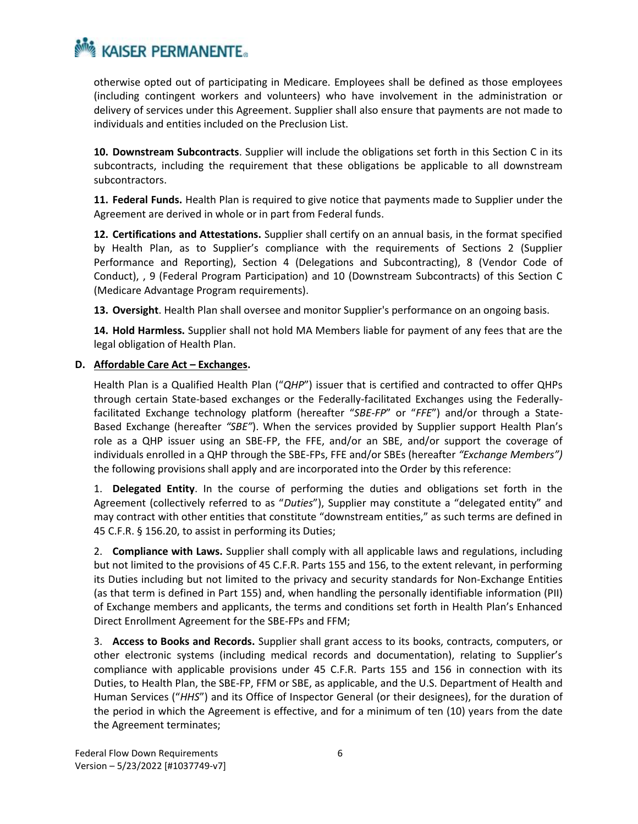otherwise opted out of participating in Medicare. Employees shall be defined as those employees (including contingent workers and volunteers) who have involvement in the administration or delivery of services under this Agreement. Supplier shall also ensure that payments are not made to individuals and entities included on the Preclusion List.

**10. Downstream Subcontracts**. Supplier will include the obligations set forth in this Section C in its subcontracts, including the requirement that these obligations be applicable to all downstream subcontractors.

**11. Federal Funds.** Health Plan is required to give notice that payments made to Supplier under the Agreement are derived in whole or in part from Federal funds.

**12. Certifications and Attestations.** Supplier shall certify on an annual basis, in the format specified by Health Plan, as to Supplier's compliance with the requirements of Sections 2 (Supplier Performance and Reporting), Section 4 (Delegations and Subcontracting), 8 (Vendor Code of Conduct), , 9 (Federal Program Participation) and 10 (Downstream Subcontracts) of this Section C (Medicare Advantage Program requirements).

**13. Oversight**. Health Plan shall oversee and monitor Supplier's performance on an ongoing basis.

**14. Hold Harmless.** Supplier shall not hold MA Members liable for payment of any fees that are the legal obligation of Health Plan.

#### **D.** Affordable Care Act – **Exchanges**.

Health Plan is a Qualified Health Plan ("*QHP*") issuer that is certified and contracted to offer QHPs through certain State-based exchanges or the Federally-facilitated Exchanges using the Federallyfacilitated Exchange technology platform (hereafter "*SBE-FP*" or "*FFE*") and/or through a State-Based Exchange (hereafter *"SBE"*). When the services provided by Supplier support Health Plan's role as a QHP issuer using an SBE-FP, the FFE, and/or an SBE, and/or support the coverage of individuals enrolled in a QHP through the SBE-FPs, FFE and/or SBEs (hereafter *"Exchange Members")* the following provisions shall apply and are incorporated into the Order by this reference:

1. **Delegated Entity**. In the course of performing the duties and obligations set forth in the Agreement (collectively referred to as "*Duties*"), Supplier may constitute a "delegated entity" and may contract with other entities that constitute "downstream entities," as such terms are defined in 45 C.F.R. § 156.20, to assist in performing its Duties;

2. **Compliance with Laws.** Supplier shall comply with all applicable laws and regulations, including but not limited to the provisions of 45 C.F.R. Parts 155 and 156, to the extent relevant, in performing its Duties including but not limited to the privacy and security standards for Non-Exchange Entities (as that term is defined in Part 155) and, when handling the personally identifiable information (PII) of Exchange members and applicants, the terms and conditions set forth in Health Plan's Enhanced Direct Enrollment Agreement for the SBE-FPs and FFM;

3. **Access to Books and Records.** Supplier shall grant access to its books, contracts, computers, or other electronic systems (including medical records and documentation), relating to Supplier's compliance with applicable provisions under 45 C.F.R. Parts 155 and 156 in connection with its Duties, to Health Plan, the SBE-FP, FFM or SBE, as applicable, and the U.S. Department of Health and Human Services ("*HHS*") and its Office of Inspector General (or their designees), for the duration of the period in which the Agreement is effective, and for a minimum of ten (10) years from the date the Agreement terminates;